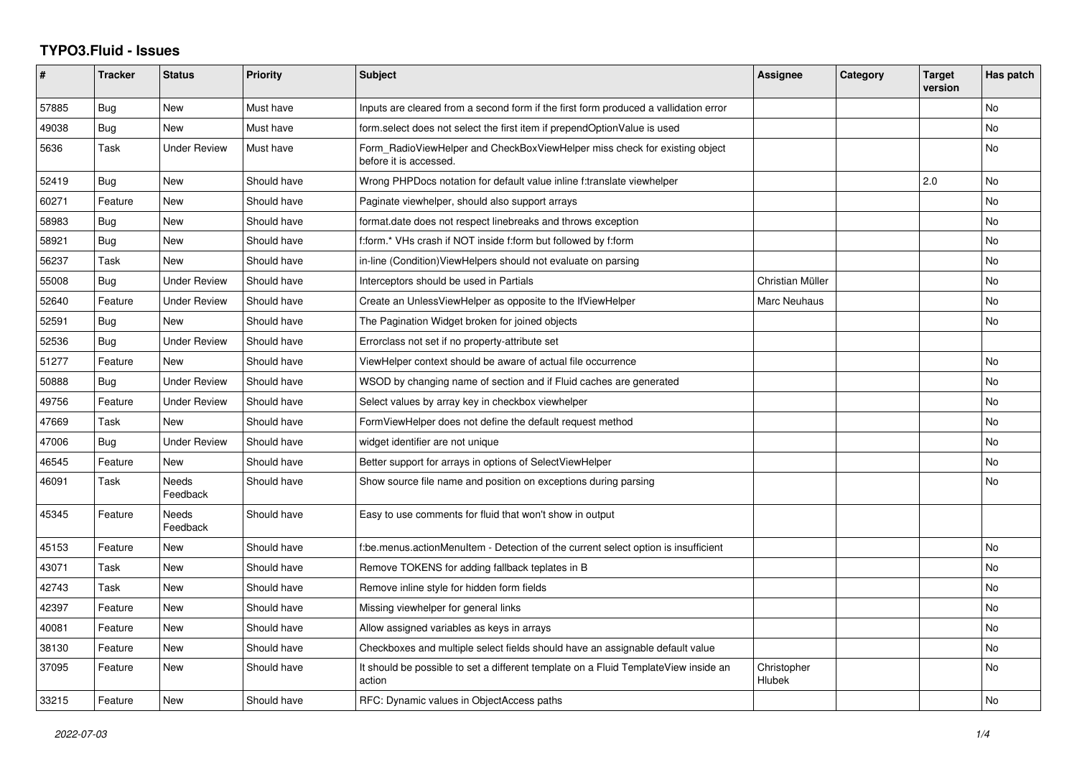## **TYPO3.Fluid - Issues**

| ∦     | <b>Tracker</b> | <b>Status</b>            | <b>Priority</b> | <b>Subject</b>                                                                                       | Assignee              | Category | <b>Target</b><br>version | Has patch |
|-------|----------------|--------------------------|-----------------|------------------------------------------------------------------------------------------------------|-----------------------|----------|--------------------------|-----------|
| 57885 | Bug            | New                      | Must have       | Inputs are cleared from a second form if the first form produced a vallidation error                 |                       |          |                          | <b>No</b> |
| 49038 | <b>Bug</b>     | <b>New</b>               | Must have       | form.select does not select the first item if prependOptionValue is used                             |                       |          |                          | <b>No</b> |
| 5636  | Task           | <b>Under Review</b>      | Must have       | Form RadioViewHelper and CheckBoxViewHelper miss check for existing object<br>before it is accessed. |                       |          |                          | <b>No</b> |
| 52419 | <b>Bug</b>     | <b>New</b>               | Should have     | Wrong PHPDocs notation for default value inline f:translate viewhelper                               |                       |          | 2.0                      | <b>No</b> |
| 60271 | Feature        | New                      | Should have     | Paginate viewhelper, should also support arrays                                                      |                       |          |                          | No        |
| 58983 | Bug            | New                      | Should have     | format.date does not respect linebreaks and throws exception                                         |                       |          |                          | <b>No</b> |
| 58921 | Bug            | <b>New</b>               | Should have     | f:form.* VHs crash if NOT inside f:form but followed by f:form                                       |                       |          |                          | <b>No</b> |
| 56237 | Task           | <b>New</b>               | Should have     | in-line (Condition) View Helpers should not evaluate on parsing                                      |                       |          |                          | <b>No</b> |
| 55008 | Bug            | <b>Under Review</b>      | Should have     | Interceptors should be used in Partials                                                              | Christian Müller      |          |                          | No        |
| 52640 | Feature        | <b>Under Review</b>      | Should have     | Create an UnlessViewHelper as opposite to the IfViewHelper                                           | Marc Neuhaus          |          |                          | <b>No</b> |
| 52591 | Bug            | <b>New</b>               | Should have     | The Pagination Widget broken for joined objects                                                      |                       |          |                          | No        |
| 52536 | Bug            | <b>Under Review</b>      | Should have     | Errorclass not set if no property-attribute set                                                      |                       |          |                          |           |
| 51277 | Feature        | <b>New</b>               | Should have     | ViewHelper context should be aware of actual file occurrence                                         |                       |          |                          | <b>No</b> |
| 50888 | Bug            | <b>Under Review</b>      | Should have     | WSOD by changing name of section and if Fluid caches are generated                                   |                       |          |                          | No        |
| 49756 | Feature        | <b>Under Review</b>      | Should have     | Select values by array key in checkbox viewhelper                                                    |                       |          |                          | No        |
| 47669 | Task           | <b>New</b>               | Should have     | FormViewHelper does not define the default request method                                            |                       |          |                          | No        |
| 47006 | Bug            | <b>Under Review</b>      | Should have     | widget identifier are not unique                                                                     |                       |          |                          | <b>No</b> |
| 46545 | Feature        | New                      | Should have     | Better support for arrays in options of SelectViewHelper                                             |                       |          |                          | No        |
| 46091 | Task           | <b>Needs</b><br>Feedback | Should have     | Show source file name and position on exceptions during parsing                                      |                       |          |                          | <b>No</b> |
| 45345 | Feature        | Needs<br>Feedback        | Should have     | Easy to use comments for fluid that won't show in output                                             |                       |          |                          |           |
| 45153 | Feature        | <b>New</b>               | Should have     | f:be.menus.actionMenuItem - Detection of the current select option is insufficient                   |                       |          |                          | <b>No</b> |
| 43071 | Task           | <b>New</b>               | Should have     | Remove TOKENS for adding fallback teplates in B                                                      |                       |          |                          | No        |
| 42743 | Task           | New                      | Should have     | Remove inline style for hidden form fields                                                           |                       |          |                          | <b>No</b> |
| 42397 | Feature        | New                      | Should have     | Missing viewhelper for general links                                                                 |                       |          |                          | No        |
| 40081 | Feature        | <b>New</b>               | Should have     | Allow assigned variables as keys in arrays                                                           |                       |          |                          | <b>No</b> |
| 38130 | Feature        | New                      | Should have     | Checkboxes and multiple select fields should have an assignable default value                        |                       |          |                          | No        |
| 37095 | Feature        | New                      | Should have     | It should be possible to set a different template on a Fluid TemplateView inside an<br>action        | Christopher<br>Hlubek |          |                          | <b>No</b> |
| 33215 | Feature        | New                      | Should have     | RFC: Dynamic values in ObjectAccess paths                                                            |                       |          |                          | No        |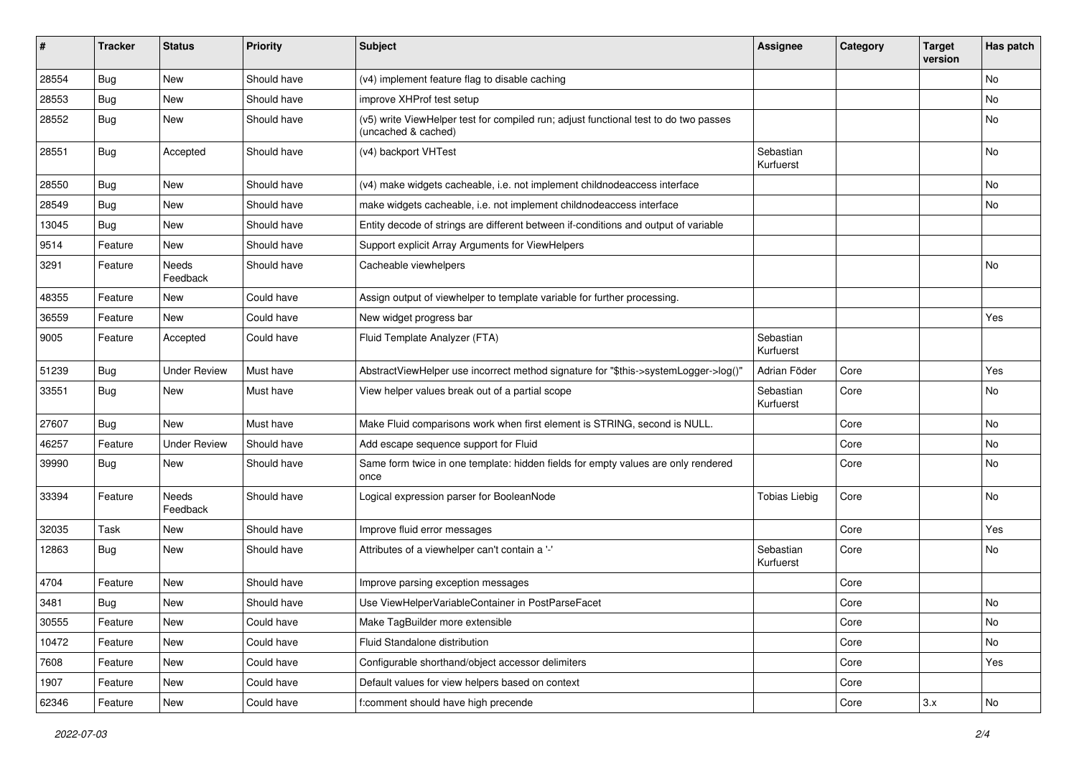| #     | <b>Tracker</b> | <b>Status</b>       | <b>Priority</b> | <b>Subject</b>                                                                                              | <b>Assignee</b>        | Category | <b>Target</b><br>version | Has patch |
|-------|----------------|---------------------|-----------------|-------------------------------------------------------------------------------------------------------------|------------------------|----------|--------------------------|-----------|
| 28554 | Bug            | New                 | Should have     | (v4) implement feature flag to disable caching                                                              |                        |          |                          | <b>No</b> |
| 28553 | Bug            | New                 | Should have     | improve XHProf test setup                                                                                   |                        |          |                          | No        |
| 28552 | Bug            | New                 | Should have     | (v5) write ViewHelper test for compiled run; adjust functional test to do two passes<br>(uncached & cached) |                        |          |                          | No        |
| 28551 | Bug            | Accepted            | Should have     | (v4) backport VHTest                                                                                        | Sebastian<br>Kurfuerst |          |                          | No        |
| 28550 | Bug            | <b>New</b>          | Should have     | (v4) make widgets cacheable, i.e. not implement childnodeaccess interface                                   |                        |          |                          | No        |
| 28549 | Bug            | New                 | Should have     | make widgets cacheable, i.e. not implement childnodeaccess interface                                        |                        |          |                          | No        |
| 13045 | Bug            | <b>New</b>          | Should have     | Entity decode of strings are different between if-conditions and output of variable                         |                        |          |                          |           |
| 9514  | Feature        | New                 | Should have     | Support explicit Array Arguments for ViewHelpers                                                            |                        |          |                          |           |
| 3291  | Feature        | Needs<br>Feedback   | Should have     | Cacheable viewhelpers                                                                                       |                        |          |                          | No        |
| 48355 | Feature        | New                 | Could have      | Assign output of viewhelper to template variable for further processing.                                    |                        |          |                          |           |
| 36559 | Feature        | <b>New</b>          | Could have      | New widget progress bar                                                                                     |                        |          |                          | Yes       |
| 9005  | Feature        | Accepted            | Could have      | Fluid Template Analyzer (FTA)                                                                               | Sebastian<br>Kurfuerst |          |                          |           |
| 51239 | Bug            | <b>Under Review</b> | Must have       | AbstractViewHelper use incorrect method signature for "\$this->systemLogger->log()"                         | Adrian Föder           | Core     |                          | Yes       |
| 33551 | Bug            | New                 | Must have       | View helper values break out of a partial scope                                                             | Sebastian<br>Kurfuerst | Core     |                          | No        |
| 27607 | <b>Bug</b>     | <b>New</b>          | Must have       | Make Fluid comparisons work when first element is STRING, second is NULL.                                   |                        | Core     |                          | <b>No</b> |
| 46257 | Feature        | <b>Under Review</b> | Should have     | Add escape sequence support for Fluid                                                                       |                        | Core     |                          | No        |
| 39990 | Bug            | New                 | Should have     | Same form twice in one template: hidden fields for empty values are only rendered<br>once                   |                        | Core     |                          | No        |
| 33394 | Feature        | Needs<br>Feedback   | Should have     | Logical expression parser for BooleanNode                                                                   | <b>Tobias Liebig</b>   | Core     |                          | <b>No</b> |
| 32035 | Task           | New                 | Should have     | Improve fluid error messages                                                                                |                        | Core     |                          | Yes       |
| 12863 | Bug            | New                 | Should have     | Attributes of a viewhelper can't contain a '-'                                                              | Sebastian<br>Kurfuerst | Core     |                          | No        |
| 4704  | Feature        | <b>New</b>          | Should have     | Improve parsing exception messages                                                                          |                        | Core     |                          |           |
| 3481  | Bug            | New                 | Should have     | Use ViewHelperVariableContainer in PostParseFacet                                                           |                        | Core     |                          | No        |
| 30555 | Feature        | New                 | Could have      | Make TagBuilder more extensible                                                                             |                        | Core     |                          | No        |
| 10472 | Feature        | New                 | Could have      | Fluid Standalone distribution                                                                               |                        | Core     |                          | No        |
| 7608  | Feature        | New                 | Could have      | Configurable shorthand/object accessor delimiters                                                           |                        | Core     |                          | Yes       |
| 1907  | Feature        | New                 | Could have      | Default values for view helpers based on context                                                            |                        | Core     |                          |           |
| 62346 | Feature        | New                 | Could have      | f:comment should have high precende                                                                         |                        | Core     | 3.x                      | No        |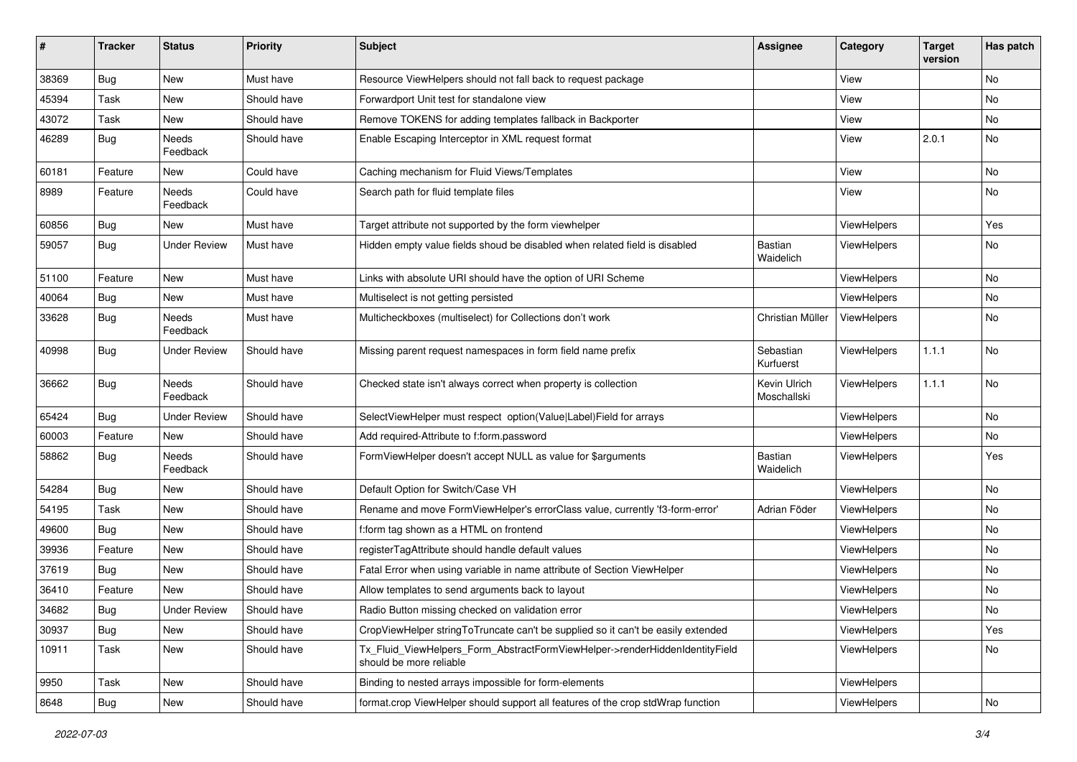| #     | <b>Tracker</b> | <b>Status</b>            | <b>Priority</b> | <b>Subject</b>                                                                                         | <b>Assignee</b>             | Category           | <b>Target</b><br>version | Has patch |
|-------|----------------|--------------------------|-----------------|--------------------------------------------------------------------------------------------------------|-----------------------------|--------------------|--------------------------|-----------|
| 38369 | Bug            | New                      | Must have       | Resource ViewHelpers should not fall back to request package                                           |                             | View               |                          | No        |
| 45394 | Task           | New                      | Should have     | Forwardport Unit test for standalone view                                                              |                             | View               |                          | No        |
| 43072 | Task           | New                      | Should have     | Remove TOKENS for adding templates fallback in Backporter                                              |                             | View               |                          | No        |
| 46289 | Bug            | Needs<br>Feedback        | Should have     | Enable Escaping Interceptor in XML request format                                                      |                             | View               | 2.0.1                    | No        |
| 60181 | Feature        | New                      | Could have      | Caching mechanism for Fluid Views/Templates                                                            |                             | View               |                          | No.       |
| 8989  | Feature        | Needs<br>Feedback        | Could have      | Search path for fluid template files                                                                   |                             | View               |                          | No        |
| 60856 | Bug            | New                      | Must have       | Target attribute not supported by the form viewhelper                                                  |                             | ViewHelpers        |                          | Yes       |
| 59057 | Bug            | <b>Under Review</b>      | Must have       | Hidden empty value fields shoud be disabled when related field is disabled                             | Bastian<br>Waidelich        | ViewHelpers        |                          | No        |
| 51100 | Feature        | New                      | Must have       | Links with absolute URI should have the option of URI Scheme                                           |                             | ViewHelpers        |                          | No        |
| 40064 | Bug            | New                      | Must have       | Multiselect is not getting persisted                                                                   |                             | ViewHelpers        |                          | No        |
| 33628 | Bug            | <b>Needs</b><br>Feedback | Must have       | Multicheckboxes (multiselect) for Collections don't work                                               | Christian Müller            | ViewHelpers        |                          | No        |
| 40998 | Bug            | <b>Under Review</b>      | Should have     | Missing parent request namespaces in form field name prefix                                            | Sebastian<br>Kurfuerst      | ViewHelpers        | 1.1.1                    | No.       |
| 36662 | Bug            | Needs<br>Feedback        | Should have     | Checked state isn't always correct when property is collection                                         | Kevin Ulrich<br>Moschallski | ViewHelpers        | 1.1.1                    | No.       |
| 65424 | Bug            | <b>Under Review</b>      | Should have     | SelectViewHelper must respect option(Value Label)Field for arrays                                      |                             | ViewHelpers        |                          | No        |
| 60003 | Feature        | New                      | Should have     | Add required-Attribute to f:form.password                                                              |                             | ViewHelpers        |                          | No        |
| 58862 | Bug            | Needs<br>Feedback        | Should have     | FormViewHelper doesn't accept NULL as value for \$arguments                                            | Bastian<br>Waidelich        | ViewHelpers        |                          | Yes       |
| 54284 | Bug            | New                      | Should have     | Default Option for Switch/Case VH                                                                      |                             | ViewHelpers        |                          | No        |
| 54195 | Task           | New                      | Should have     | Rename and move FormViewHelper's errorClass value, currently 'f3-form-error'                           | Adrian Föder                | ViewHelpers        |                          | No        |
| 49600 | Bug            | New                      | Should have     | f:form tag shown as a HTML on frontend                                                                 |                             | ViewHelpers        |                          | No        |
| 39936 | Feature        | New                      | Should have     | registerTagAttribute should handle default values                                                      |                             | ViewHelpers        |                          | No        |
| 37619 | <b>Bug</b>     | New                      | Should have     | Fatal Error when using variable in name attribute of Section ViewHelper                                |                             | ViewHelpers        |                          | No        |
| 36410 | Feature        | New                      | Should have     | Allow templates to send arguments back to layout                                                       |                             | <b>ViewHelpers</b> |                          | No        |
| 34682 | <b>Bug</b>     | <b>Under Review</b>      | Should have     | Radio Button missing checked on validation error                                                       |                             | ViewHelpers        |                          | No        |
| 30937 | <b>Bug</b>     | New                      | Should have     | CropViewHelper stringToTruncate can't be supplied so it can't be easily extended                       |                             | ViewHelpers        |                          | Yes       |
| 10911 | Task           | New                      | Should have     | Tx_Fluid_ViewHelpers_Form_AbstractFormViewHelper->renderHiddenIdentityField<br>should be more reliable |                             | ViewHelpers        |                          | No        |
| 9950  | Task           | New                      | Should have     | Binding to nested arrays impossible for form-elements                                                  |                             | ViewHelpers        |                          |           |
| 8648  | Bug            | New                      | Should have     | format.crop ViewHelper should support all features of the crop stdWrap function                        |                             | ViewHelpers        |                          | No        |